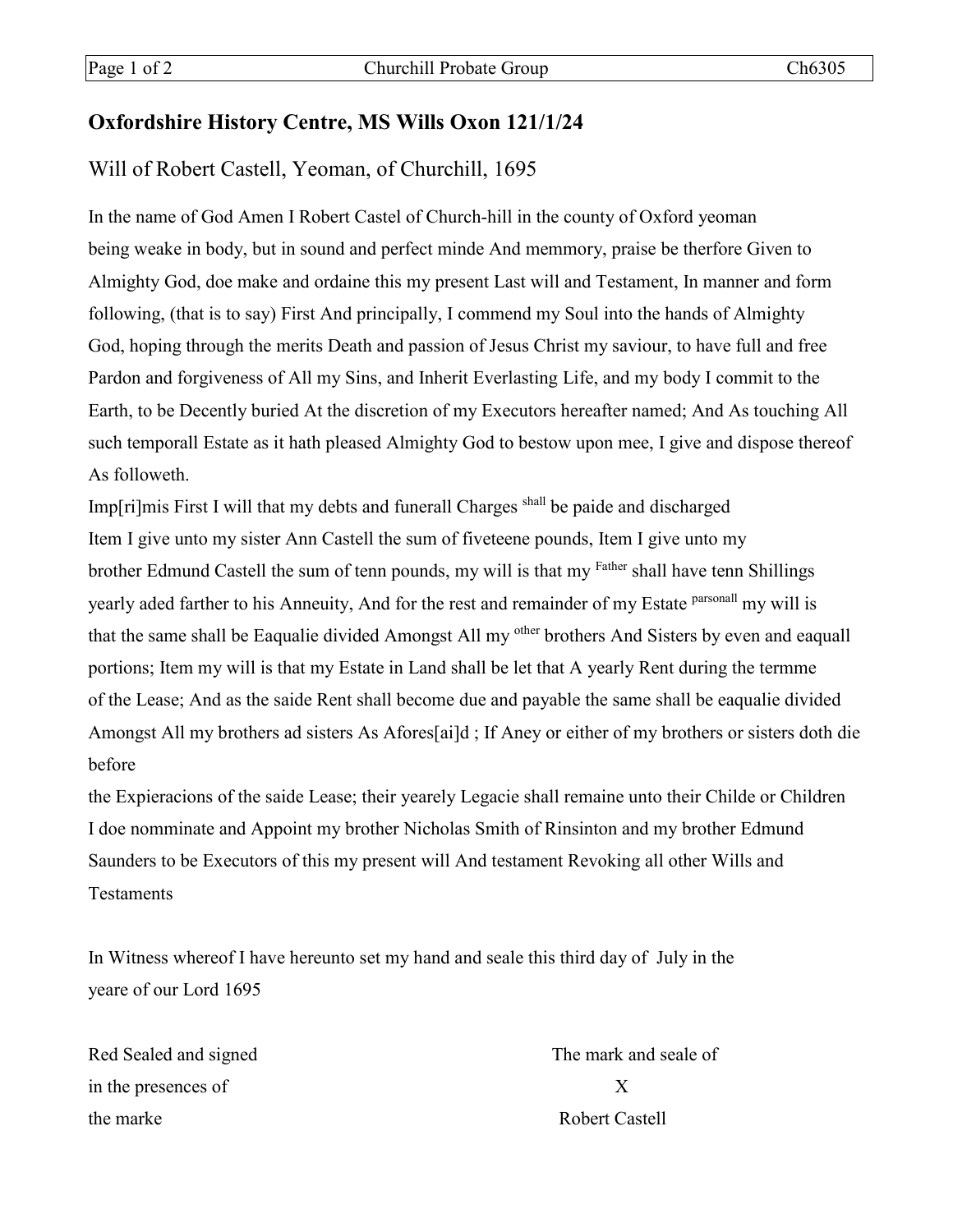## **Oxfordshire History Centre, MS Wills Oxon 121/1/24**

## Will of Robert Castell, Yeoman, of Churchill, 1695

In the name of God Amen I Robert Castel of Church-hill in the county of Oxford yeoman being weake in body, but in sound and perfect minde And memmory, praise be therfore Given to Almighty God, doe make and ordaine this my present Last will and Testament, In manner and form following, (that is to say) First And principally, I commend my Soul into the hands of Almighty God, hoping through the merits Death and passion of Jesus Christ my saviour, to have full and free Pardon and forgiveness of All my Sins, and Inherit Everlasting Life, and my body I commit to the Earth, to be Decently buried At the discretion of my Executors hereafter named; And As touching All such temporall Estate as it hath pleased Almighty God to bestow upon mee, I give and dispose thereof As followeth.

Imp[ri]mis First I will that my debts and funerall Charges shall be paide and discharged Item I give unto my sister Ann Castell the sum of fiveteene pounds, Item I give unto my brother Edmund Castell the sum of tenn pounds, my will is that my Father shall have tenn Shillings yearly aded farther to his Anneuity, And for the rest and remainder of my Estate *parsonall* my will is that the same shall be Eaqualie divided Amongst All my <sup>other</sup> brothers And Sisters by even and eaquall portions; Item my will is that my Estate in Land shall be let that A yearly Rent during the termme of the Lease; And as the saide Rent shall become due and payable the same shall be eaqualie divided Amongst All my brothers ad sisters As Afores[ai]d ; If Aney or either of my brothers or sisters doth die before

the Expieracions of the saide Lease; their yearely Legacie shall remaine unto their Childe or Children I doe nomminate and Appoint my brother Nicholas Smith of Rinsinton and my brother Edmund Saunders to be Executors of this my present will And testament Revoking all other Wills and Testaments

In Witness whereof I have hereunto set my hand and seale this third day of July in the yeare of our Lord 1695

Red Sealed and signed The mark and seale of in the presences of X the marke Robert Castell